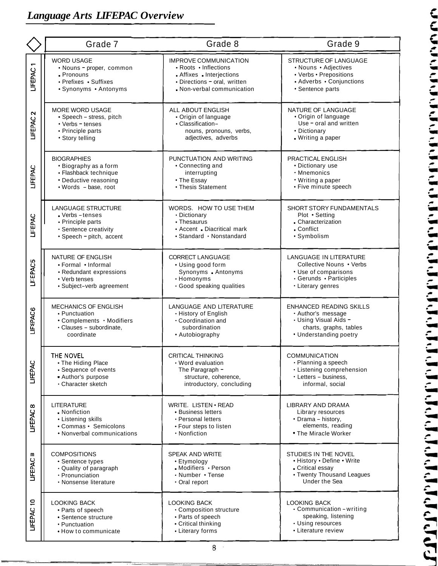|                                        | Grade 7                                                                                                        | Grade 8                                                                                                                                    | Grade 9                                                                                                                        |
|----------------------------------------|----------------------------------------------------------------------------------------------------------------|--------------------------------------------------------------------------------------------------------------------------------------------|--------------------------------------------------------------------------------------------------------------------------------|
| $\overline{\phantom{0}}$<br>LIFEPAC    | <b>WORD USAGE</b><br>· Nouns - proper, common<br>- Pronouns<br>• Prefixes • Suffixes<br>• Synonyms • Antonyms  | <b>IMPROVE COMMUNICATION</b><br>• Roots • Inflections<br>Affixes Interjections<br>· Directions - oral, written<br>Non-verbal communication | <b>STRUCTURE OF LANGUAGE</b><br>• Nouns • Adjectives<br>• Verbs • Prepositions<br>• Adverbs • Conjunctions<br>· Sentence parts |
| $\mathbf{\tilde{z}}$<br><b>LIFEPAC</b> | <b>MORE WORD USAGE</b><br>• Speech – stress, pitch<br>• Verbs - tenses<br>• Principle parts<br>· Story telling | ALL ABOUT ENGLISH<br>• Origin of language<br>· Classification-<br>nouns, pronouns, verbs,<br>adjectives, adverbs                           | NATURE OF LANGUAGE<br>• Origin of language<br>Use - oral and written<br>• Dictionary<br>- Writing a paper                      |
| LIFEPAC                                | <b>BIOGRAPHIES</b>                                                                                             | PUNCTUATION AND WRITING                                                                                                                    | PRACTICAL ENGLISH                                                                                                              |
|                                        | • Biography as a form                                                                                          | • Connecting and                                                                                                                           | • Dictionary use                                                                                                               |
|                                        | • Flashback technique                                                                                          | interrupting                                                                                                                               | • Mnemonics                                                                                                                    |
|                                        | • Deductive reasoning                                                                                          | • The Essay                                                                                                                                | • Writing a paper                                                                                                              |
|                                        | • Words - base, root                                                                                           | • Thesis Statement                                                                                                                         | • Five minute speech                                                                                                           |
| <b>LIFEPAC</b>                         | <b>LANGUAGE STRUCTURE</b>                                                                                      | WORDS. HOW TO USE THEM                                                                                                                     | SHORT STORY FUNDAMENTALS                                                                                                       |
|                                        | Verbs-tenses                                                                                                   | • Dictionary                                                                                                                               | Plot • Setting                                                                                                                 |
|                                        | • Principle parts                                                                                              | • Thesaurus                                                                                                                                | Characterization                                                                                                               |
|                                        | · Sentence creativity                                                                                          | • Accent Diacritical mark                                                                                                                  | Conflict                                                                                                                       |
|                                        | · Speech - pitch, accent                                                                                       | · Standard · Nonstandard                                                                                                                   | • Symbolism                                                                                                                    |
| <b>LFEPAC5</b>                         | NATURE OF ENGLISH                                                                                              | <b>CORRECT LANGUAGE</b>                                                                                                                    | LANGUAGE IN LITERATURE                                                                                                         |
|                                        | • Formal • Informal                                                                                            | • Using good form                                                                                                                          | Collective Nouns • Verbs                                                                                                       |
|                                        | • Redundant expressions                                                                                        | Synonyms Antonyms                                                                                                                          | • Use of comparisons                                                                                                           |
|                                        | • Verb tenses                                                                                                  | • Homonyms                                                                                                                                 | · Gerunds · Participles                                                                                                        |
|                                        | · Subject-verb agreement                                                                                       | · Good speaking qualities                                                                                                                  | • Literary genres                                                                                                              |
| LIFSPAC6                               | <b>MECHANICS OF ENGLISH</b>                                                                                    | LANGUAGE AND LITERATURE                                                                                                                    | <b>ENHANCED READING SKILLS</b>                                                                                                 |
|                                        | • Punctuation                                                                                                  | • History of English                                                                                                                       | • Author's message                                                                                                             |
|                                        | • Complements • Modifiers                                                                                      | • Coordination and                                                                                                                         | • Using Visual Aids -                                                                                                          |
|                                        | • Clauses - subordinate.                                                                                       | subordination                                                                                                                              | charts, graphs, tables                                                                                                         |
|                                        | coordinate                                                                                                     | • Autobiography                                                                                                                            | • Understanding poetry                                                                                                         |
| <b>LIFEPAC</b>                         | THE NOVEL                                                                                                      | <b>CRITICAL THINKING</b>                                                                                                                   | <b>COMMUNICATION</b>                                                                                                           |
|                                        | • The Hiding Place                                                                                             | • Word evaluation                                                                                                                          | • Planning a speech                                                                                                            |
|                                        | • Sequence of events                                                                                           | The Paragraph -                                                                                                                            | • Listening comprehension                                                                                                      |
|                                        | • Author's purpose                                                                                             | structure, coherence,                                                                                                                      | • Letters - business,                                                                                                          |
|                                        | • Character sketch                                                                                             | introductory, concluding                                                                                                                   | informal, social                                                                                                               |
| LIFEPAC <sub>8</sub>                   | <b>LITERATURE</b>                                                                                              | WRITE. LISTEN · READ                                                                                                                       | LIBRARY AND DRAMA                                                                                                              |
|                                        | - Nonfiction                                                                                                   | • Business letters                                                                                                                         | Library resources                                                                                                              |
|                                        | • Listening skills                                                                                             | • Personal letters                                                                                                                         | · Drama - history,                                                                                                             |
|                                        | • Commas • Semicolons                                                                                          | • Four steps to listen                                                                                                                     | elements, reading                                                                                                              |
|                                        | • Nonverbal communications                                                                                     | • Nonfiction                                                                                                                               | • The Miracle Worker                                                                                                           |
| <b>LIFEPACE</b>                        | <b>COMPOSITIONS</b>                                                                                            | SPEAK AND WRITE                                                                                                                            | STUDIES IN THE NOVEL                                                                                                           |
|                                        | • Sentence types                                                                                               | • Etymology                                                                                                                                | • History • Define • Write                                                                                                     |
|                                        | • Quality of paragraph                                                                                         | Modifiers · Person                                                                                                                         | Critical essay                                                                                                                 |
|                                        | • Pronunciation                                                                                                | • Number • Tense                                                                                                                           | • Twenty Thousand Leagues                                                                                                      |
|                                        | • Nonsense literature                                                                                          | • Oral report                                                                                                                              | Under the Sea                                                                                                                  |
| LIFEPAC <sub>10</sub>                  | <b>LOOKING BACK</b>                                                                                            | <b>LOOKING BACK</b>                                                                                                                        | <b>LOOKING BACK</b>                                                                                                            |
|                                        | • Parts of speech                                                                                              | • Composition structure                                                                                                                    | • Communication - writing                                                                                                      |
|                                        | • Sentence structure                                                                                           | • Parts of speech                                                                                                                          | speaking, listening                                                                                                            |
|                                        | • Punctuation                                                                                                  | • Critical thinking                                                                                                                        | • Using resources                                                                                                              |
|                                        | • How to communicate                                                                                           | • Literary forms                                                                                                                           | • Literature review                                                                                                            |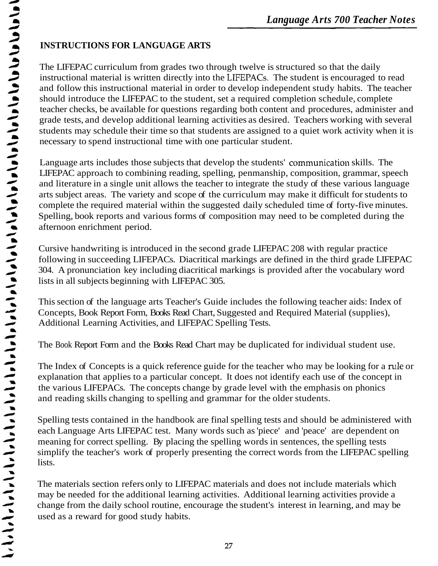## **INSTRUCTIONS FOR LANGUAGE ARTS**

The LIFEPAC curriculum from grades two through twelve is structured so that the daily instructional material is written directly into the LIFEPACs. The student is encouraged to read and follow this instructional material in order to develop independent study habits. The teacher should introduce the LIFEPAC to the student, set a required completion schedule, complete teacher checks, be available for questions regarding both content and procedures, administer and grade tests, and develop additional learning activities as desired. Teachers working with several students may schedule their time so that students are assigned to a quiet work activity when it is necessary to spend instructional time with one particular student.

Language arts includes those subjects that develop the students' communication skills. The LIFEPAC approach to combining reading, spelling, penmanship, composition, grammar, speech and literature in a single unit allows the teacher to integrate the study of these various language arts subject areas. The variety and scope of the curriculum may make it difficult for students to complete the required material within the suggested daily scheduled time of forty-five minutes. Spelling, book reports and various forms of composition may need to be completed during the afternoon enrichment period.

Cursive handwriting is introduced in the second grade LIFEPAC 208 with regular practice following in succeeding LIFEPACs. Diacritical markings are defined in the third grade LIFEPAC 304. A pronunciation key including diacritical markings is provided after the vocabulary word lists in all subjects beginning with LIFEPAC 305.

This section of the language arts Teacher's Guide includes the following teacher aids: Index of Concepts, Book Report Form, Books Read Chart, Suggested and Required Material (supplies), Additional Learning Activities, and LIFEPAC Spelling Tests.

The Book Report Form and the Books Read Chart may be duplicated for individual student use.

The Index of Concepts is a quick reference guide for the teacher who may be looking for a rule or explanation that applies to a particular concept. It does not identify each use of the concept in the various LIFEPACs. The concepts change by grade level with the emphasis on phonics and reading skills changing to spelling and grammar for the older students.

Spelling tests contained in the handbook are final spelling tests and should be administered with each Language Arts LIFEPAC test. Many words such as 'piece' and 'peace' are dependent on meaning for correct spelling. By placing the spelling words in sentences, the spelling tests simplify the teacher's work of properly presenting the correct words from the LIFEPAC spelling lists.

The materials section refers only to LIFEPAC materials and does not include materials which may be needed for the additional learning activities. Additional learning activities provide a change from the daily school routine, encourage the student's interest in learning, and may be used as a reward for good study habits.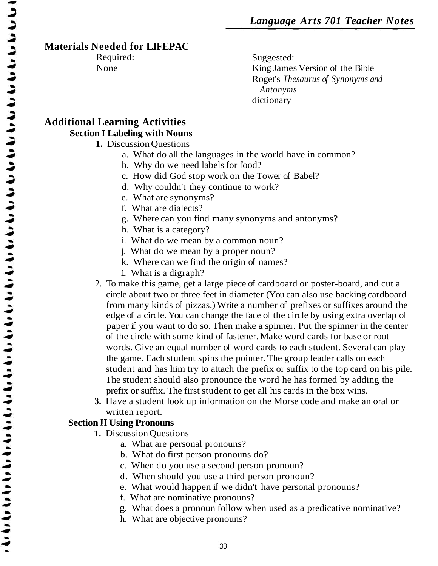### **Materials Needed for LIFEPAC**

Required: None

Suggested: King James Version of the Bible Roget's *Thesaurus of Synonyms and Antonyms*  dictionary

# **Additional Learning Activities**

### **Section I Labeling with Nouns**

- **1.** Discussion Questions
	- a. What do all the languages in the world have in common?
	- b. Why do we need labels for food?
	- c. How did God stop work on the Tower of Babel?
	- d. Why couldn't they continue to work?
	- e. What are synonyms?
	- f. What are dialects?
	- g. Where can you find many synonyms and antonyms?
	- h. What is a category?
	- i. What do we mean by a common noun?
	- j. What do we mean by a proper noun?
	- k. Where can we find the origin of names?
	- 1. What is a digraph?
- 2. To make this game, get a large piece of cardboard or poster-board, and cut a circle about two or three feet in diameter (You can also use backing cardboard from many kinds of pizzas.) Write a number of prefixes or suffixes around the edge of a circle. You can change the face of the circle by using extra overlap of paper if you want to do so. Then make a spinner. Put the spinner in the center of the circle with some kind of fastener. Make word cards for base or root words. Give an equal number of word cards to each student. Several can play the game. Each student spins the pointer. The group leader calls on each student and has him try to attach the prefix or suffix to the top card on his pile. The student should also pronounce the word he has formed by adding the prefix or suffix. The first student to get all his cards in the box wins.
- **3.** Have a student look up information on the Morse code and make an oral or written report.

### **Section I1 Using Pronouns**

- 1. Discussion Questions
	- a. What are personal pronouns?
	- b. What do first person pronouns do?
	- c. When do you use a second person pronoun?
	- d. When should you use a third person pronoun?
	- e. What would happen if we didn't have personal pronouns?
	- f. What are nominative pronouns?
	- g. What does a pronoun follow when used as a predicative nominative?
	- h. What are objective pronouns?